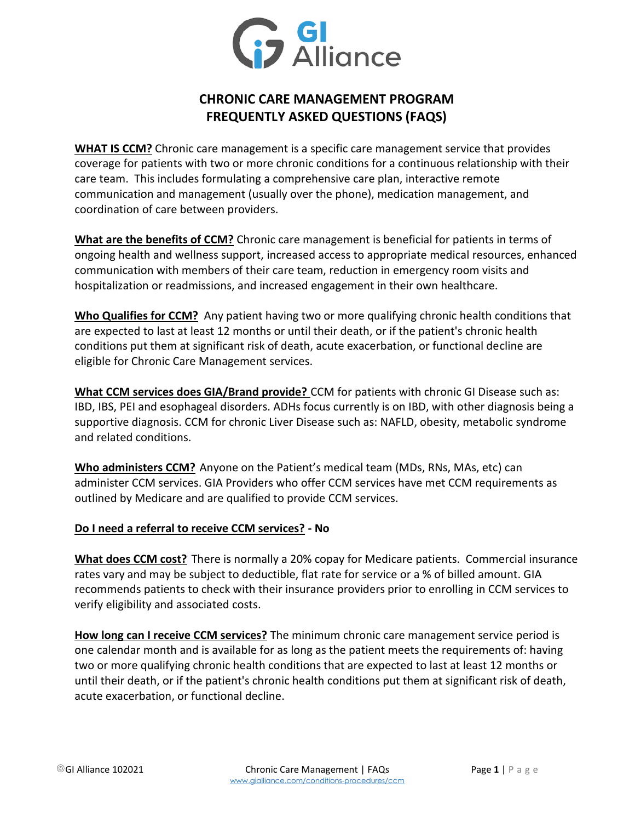

## **CHRONIC CARE MANAGEMENT PROGRAM FREQUENTLY ASKED QUESTIONS (FAQS)**

**WHAT IS CCM?** Chronic care management is a specific care management service that provides coverage for patients with two or more chronic conditions for a continuous relationship with their care team. This includes formulating a comprehensive care plan, interactive remote communication and management (usually over the phone), medication management, and coordination of care between providers.

**What are the benefits of CCM?** Chronic care management is beneficial for patients in terms of ongoing health and wellness support, increased access to appropriate medical resources, enhanced communication with members of their care team, reduction in emergency room visits and hospitalization or readmissions, and increased engagement in their own healthcare.

**Who Qualifies for CCM?** Any patient having two or more qualifying chronic health conditions that are expected to last at least 12 months or until their death, or if the patient's chronic health conditions put them at significant risk of death, acute exacerbation, or functional decline are eligible for Chronic Care Management services.

**What CCM services does GIA/Brand provide?** CCM for patients with chronic GI Disease such as: IBD, IBS, PEI and esophageal disorders. ADHs focus currently is on IBD, with other diagnosis being a supportive diagnosis. CCM for chronic Liver Disease such as: NAFLD, obesity, metabolic syndrome and related conditions.

**Who administers CCM?** Anyone on the Patient's medical team (MDs, RNs, MAs, etc) can administer CCM services. GIA Providers who offer CCM services have met CCM requirements as outlined by Medicare and are qualified to provide CCM services.

## **Do I need a referral to receive CCM services? - No**

**What does CCM cost?** There is normally a 20% copay for Medicare patients. Commercial insurance rates vary and may be subject to deductible, flat rate for service or a % of billed amount. GIA recommends patients to check with their insurance providers prior to enrolling in CCM services to verify eligibility and associated costs.

**How long can I receive CCM services?** The minimum chronic care management service period is one calendar month and is available for as long as the patient meets the requirements of: having two or more qualifying chronic health conditions that are expected to last at least 12 months or until their death, or if the patient's chronic health conditions put them at significant risk of death, acute exacerbation, or functional decline.